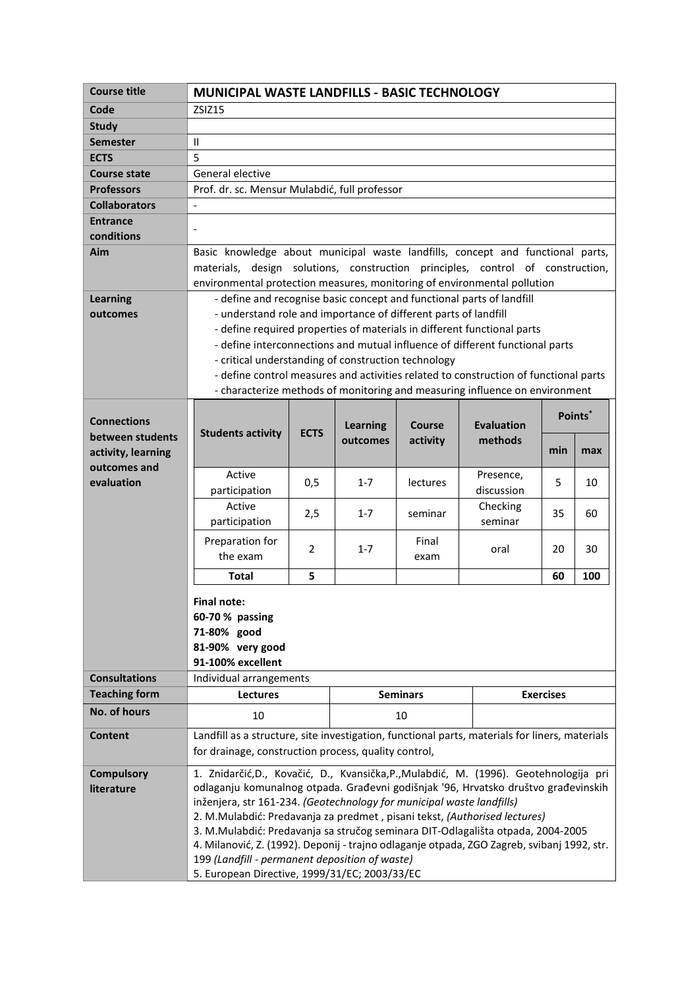| <b>Course title</b>                | <b>MUNICIPAL WASTE LANDFILLS - BASIC TECHNOLOGY</b>                                                                                                          |     |                 |          |            |                  |         |
|------------------------------------|--------------------------------------------------------------------------------------------------------------------------------------------------------------|-----|-----------------|----------|------------|------------------|---------|
| Code                               | ZSIZ15                                                                                                                                                       |     |                 |          |            |                  |         |
| <b>Study</b>                       |                                                                                                                                                              |     |                 |          |            |                  |         |
| <b>Semester</b>                    | $\mathbf{H}$                                                                                                                                                 |     |                 |          |            |                  |         |
| <b>ECTS</b>                        | 5                                                                                                                                                            |     |                 |          |            |                  |         |
| <b>Course state</b>                | General elective                                                                                                                                             |     |                 |          |            |                  |         |
| <b>Professors</b>                  | Prof. dr. sc. Mensur Mulabdić, full professor                                                                                                                |     |                 |          |            |                  |         |
| <b>Collaborators</b>               |                                                                                                                                                              |     |                 |          |            |                  |         |
| <b>Entrance</b><br>conditions      |                                                                                                                                                              |     |                 |          |            |                  |         |
| Aim                                | Basic knowledge about municipal waste landfills, concept and functional parts,                                                                               |     |                 |          |            |                  |         |
|                                    | materials, design solutions, construction principles, control of construction,                                                                               |     |                 |          |            |                  |         |
|                                    | environmental protection measures, monitoring of environmental pollution                                                                                     |     |                 |          |            |                  |         |
| <b>Learning</b>                    | - define and recognise basic concept and functional parts of landfill                                                                                        |     |                 |          |            |                  |         |
| outcomes                           | - understand role and importance of different parts of landfill                                                                                              |     |                 |          |            |                  |         |
|                                    | - define required properties of materials in different functional parts                                                                                      |     |                 |          |            |                  |         |
|                                    | - define interconnections and mutual influence of different functional parts                                                                                 |     |                 |          |            |                  |         |
|                                    | - critical understanding of construction technology                                                                                                          |     |                 |          |            |                  |         |
|                                    | - define control measures and activities related to construction of functional parts                                                                         |     |                 |          |            |                  |         |
|                                    | - characterize methods of monitoring and measuring influence on environment                                                                                  |     |                 |          |            |                  |         |
|                                    |                                                                                                                                                              |     |                 |          |            |                  | Points* |
| <b>Connections</b>                 | <b>Evaluation</b><br><b>Learning</b><br>Course<br><b>Students activity</b><br><b>ECTS</b>                                                                    |     |                 |          |            |                  |         |
| between students                   |                                                                                                                                                              |     | outcomes        | activity | methods    | min              | max     |
| activity, learning<br>outcomes and |                                                                                                                                                              |     |                 |          |            |                  |         |
| evaluation                         | Active                                                                                                                                                       | 0,5 | $1 - 7$         | lectures | Presence,  | 5                | 10      |
|                                    | participation                                                                                                                                                |     |                 |          | discussion |                  |         |
|                                    | Active                                                                                                                                                       | 2,5 | $1 - 7$         | seminar  | Checking   | 35               | 60      |
|                                    | participation                                                                                                                                                |     |                 |          | seminar    |                  |         |
|                                    | Preparation for                                                                                                                                              | 2   | $1 - 7$         | Final    | oral       | 20               | 30      |
|                                    | the exam                                                                                                                                                     |     |                 | exam     |            |                  |         |
|                                    | <b>Total</b>                                                                                                                                                 | 5   |                 |          |            | 60               | 100     |
|                                    | <b>Final note:</b>                                                                                                                                           |     |                 |          |            |                  |         |
|                                    | 60-70 % passing                                                                                                                                              |     |                 |          |            |                  |         |
|                                    | 71-80% good                                                                                                                                                  |     |                 |          |            |                  |         |
|                                    | 81-90% very good                                                                                                                                             |     |                 |          |            |                  |         |
|                                    | 91-100% excellent                                                                                                                                            |     |                 |          |            |                  |         |
| <b>Consultations</b>               | Individual arrangements                                                                                                                                      |     |                 |          |            |                  |         |
| <b>Teaching form</b>               | Lectures                                                                                                                                                     |     | <b>Seminars</b> |          |            | <b>Exercises</b> |         |
| <b>No. of hours</b>                | 10                                                                                                                                                           |     | 10              |          |            |                  |         |
| Content                            | Landfill as a structure, site investigation, functional parts, materials for liners, materials<br>for drainage, construction process, quality control,       |     |                 |          |            |                  |         |
|                                    |                                                                                                                                                              |     |                 |          |            |                  |         |
| <b>Compulsory</b>                  | 1. Znidarčić, D., Kovačić, D., Kvansička, P., Mulabdić, M. (1996). Geotehnologija pri                                                                        |     |                 |          |            |                  |         |
| literature                         | odlaganju komunalnog otpada. Građevni godišnjak '96, Hrvatsko društvo građevinskih                                                                           |     |                 |          |            |                  |         |
|                                    | inženjera, str 161-234. (Geotechnology for municipal waste landfills)                                                                                        |     |                 |          |            |                  |         |
|                                    | 2. M.Mulabdić: Predavanja za predmet, pisani tekst, (Authorised lectures)<br>3. M.Mulabdić: Predavanja sa stručog seminara DIT-Odlagališta otpada, 2004-2005 |     |                 |          |            |                  |         |
|                                    | 4. Milanović, Z. (1992). Deponij - trajno odlaganje otpada, ZGO Zagreb, svibanj 1992, str.                                                                   |     |                 |          |            |                  |         |
|                                    | 199 (Landfill - permanent deposition of waste)                                                                                                               |     |                 |          |            |                  |         |
|                                    | 5. European Directive, 1999/31/EC; 2003/33/EC                                                                                                                |     |                 |          |            |                  |         |